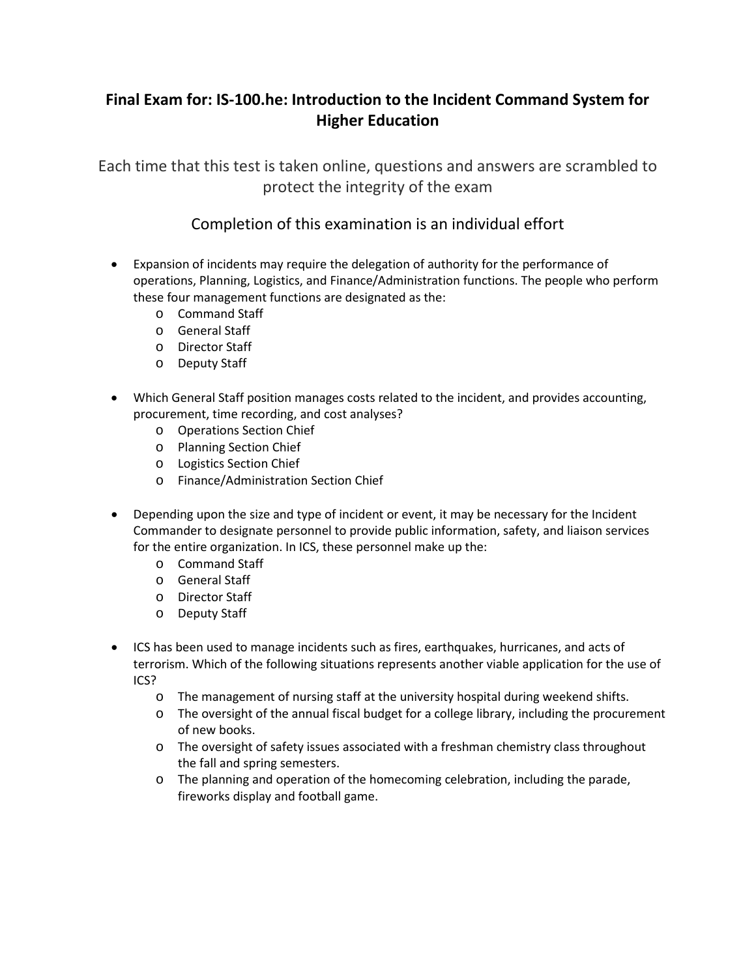## **Final Exam for: IS-100.he: Introduction to the Incident Command System for Higher Education**

Each time that this test is taken online, questions and answers are scrambled to protect the integrity of the exam

## Completion of this examination is an individual effort

- Expansion of incidents may require the delegation of authority for the performance of operations, Planning, Logistics, and Finance/Administration functions. The people who perform these four management functions are designated as the:
	- o Command Staff
	- o General Staff
	- o Director Staff
	- o Deputy Staff
- Which General Staff position manages costs related to the incident, and provides accounting, procurement, time recording, and cost analyses?
	- o Operations Section Chief
	- o Planning Section Chief
	- o Logistics Section Chief
	- o Finance/Administration Section Chief
- Depending upon the size and type of incident or event, it may be necessary for the Incident Commander to designate personnel to provide public information, safety, and liaison services for the entire organization. In ICS, these personnel make up the:
	- o Command Staff
	- o General Staff
	- o Director Staff
	- o Deputy Staff
- ICS has been used to manage incidents such as fires, earthquakes, hurricanes, and acts of terrorism. Which of the following situations represents another viable application for the use of ICS?
	- o The management of nursing staff at the university hospital during weekend shifts.
	- o The oversight of the annual fiscal budget for a college library, including the procurement of new books.
	- o The oversight of safety issues associated with a freshman chemistry class throughout the fall and spring semesters.
	- o The planning and operation of the homecoming celebration, including the parade, fireworks display and football game.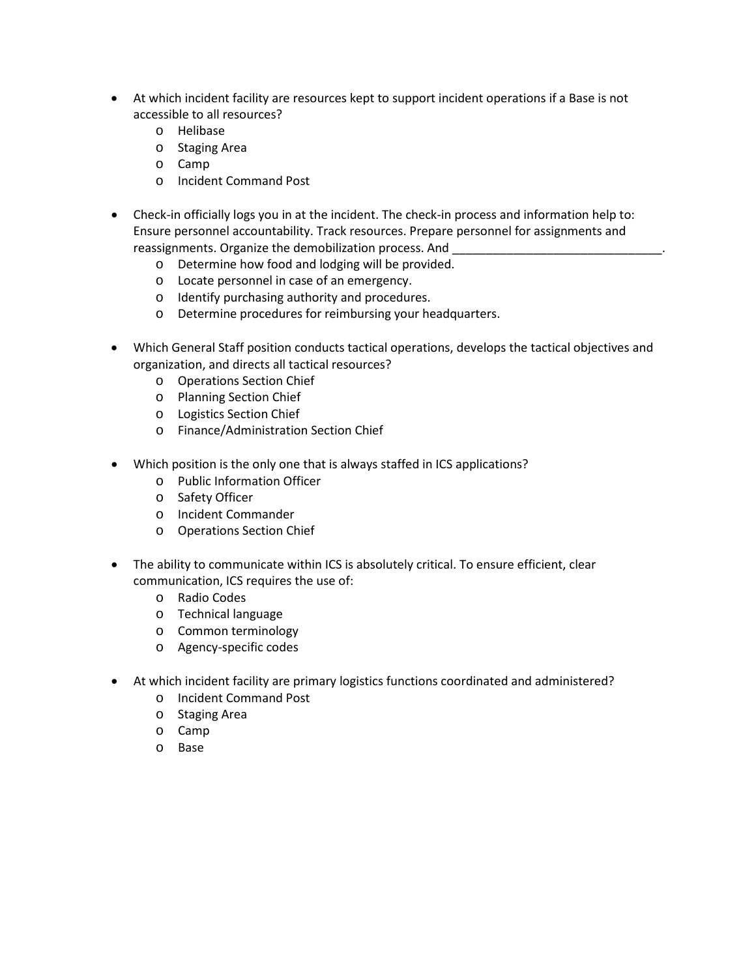- At which incident facility are resources kept to support incident operations if a Base is not accessible to all resources?
	- o Helibase
	- o Staging Area
	- o Camp
	- o Incident Command Post
- Check-in officially logs you in at the incident. The check-in process and information help to: Ensure personnel accountability. Track resources. Prepare personnel for assignments and reassignments. Organize the demobilization process. And
	- o Determine how food and lodging will be provided.
	- o Locate personnel in case of an emergency.
	- o Identify purchasing authority and procedures.
	- o Determine procedures for reimbursing your headquarters.
- Which General Staff position conducts tactical operations, develops the tactical objectives and organization, and directs all tactical resources?
	- o Operations Section Chief
	- o Planning Section Chief
	- o Logistics Section Chief
	- o Finance/Administration Section Chief
- Which position is the only one that is always staffed in ICS applications?
	- o Public Information Officer
	- o Safety Officer
	- o Incident Commander
	- o Operations Section Chief
- The ability to communicate within ICS is absolutely critical. To ensure efficient, clear communication, ICS requires the use of:
	- o Radio Codes
	- o Technical language
	- o Common terminology
	- o Agency-specific codes
- At which incident facility are primary logistics functions coordinated and administered?
	- o Incident Command Post
	- o Staging Area
	- o Camp
	- o Base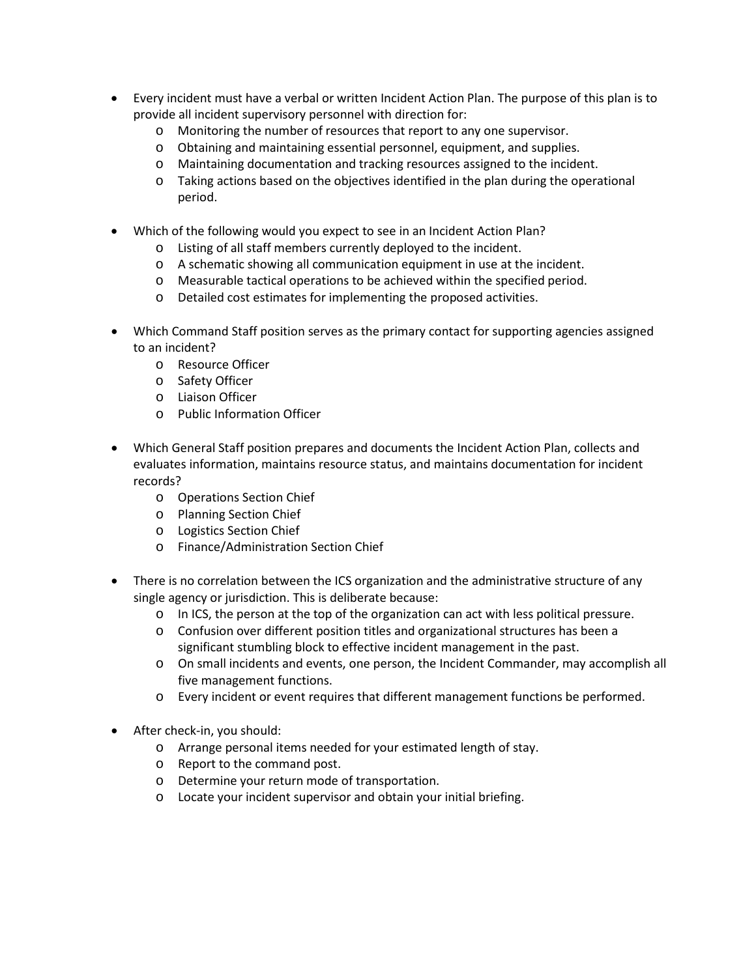- Every incident must have a verbal or written Incident Action Plan. The purpose of this plan is to provide all incident supervisory personnel with direction for:
	- o Monitoring the number of resources that report to any one supervisor.
	- o Obtaining and maintaining essential personnel, equipment, and supplies.
	- o Maintaining documentation and tracking resources assigned to the incident.
	- o Taking actions based on the objectives identified in the plan during the operational period.
- Which of the following would you expect to see in an Incident Action Plan?
	- o Listing of all staff members currently deployed to the incident.
	- o A schematic showing all communication equipment in use at the incident.
	- o Measurable tactical operations to be achieved within the specified period.
	- o Detailed cost estimates for implementing the proposed activities.
- Which Command Staff position serves as the primary contact for supporting agencies assigned to an incident?
	- o Resource Officer
	- o Safety Officer
	- o Liaison Officer
	- o Public Information Officer
- Which General Staff position prepares and documents the Incident Action Plan, collects and evaluates information, maintains resource status, and maintains documentation for incident records?
	- o Operations Section Chief
	- o Planning Section Chief
	- o Logistics Section Chief
	- o Finance/Administration Section Chief
- There is no correlation between the ICS organization and the administrative structure of any single agency or jurisdiction. This is deliberate because:
	- $\circ$  In ICS, the person at the top of the organization can act with less political pressure.
	- o Confusion over different position titles and organizational structures has been a significant stumbling block to effective incident management in the past.
	- o On small incidents and events, one person, the Incident Commander, may accomplish all five management functions.
	- o Every incident or event requires that different management functions be performed.
- After check-in, you should:
	- o Arrange personal items needed for your estimated length of stay.
	- o Report to the command post.
	- o Determine your return mode of transportation.
	- o Locate your incident supervisor and obtain your initial briefing.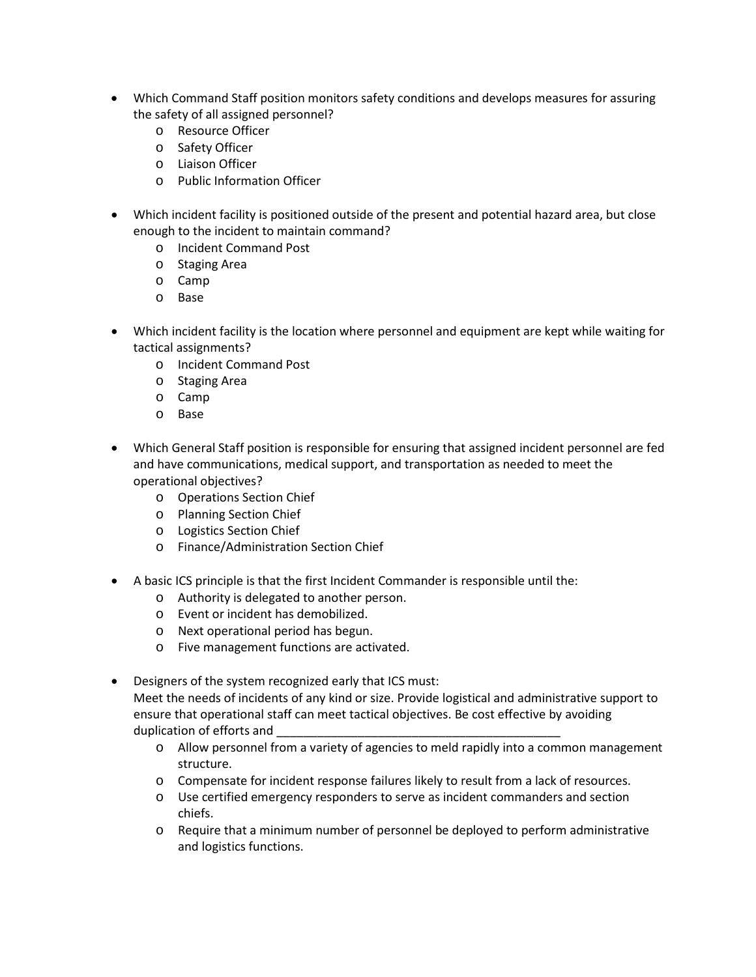- Which Command Staff position monitors safety conditions and develops measures for assuring the safety of all assigned personnel?
	- o Resource Officer
	- o Safety Officer
	- o Liaison Officer
	- o Public Information Officer
- Which incident facility is positioned outside of the present and potential hazard area, but close enough to the incident to maintain command?
	- o Incident Command Post
	- o Staging Area
	- o Camp
	- o Base
- Which incident facility is the location where personnel and equipment are kept while waiting for tactical assignments?
	- o Incident Command Post
	- o Staging Area
	- o Camp
	- o Base
- Which General Staff position is responsible for ensuring that assigned incident personnel are fed and have communications, medical support, and transportation as needed to meet the operational objectives?
	- o Operations Section Chief
	- o Planning Section Chief
	- o Logistics Section Chief
	- o Finance/Administration Section Chief
- A basic ICS principle is that the first Incident Commander is responsible until the:
	- o Authority is delegated to another person.
	- o Event or incident has demobilized.
	- o Next operational period has begun.
	- o Five management functions are activated.
- Designers of the system recognized early that ICS must:

Meet the needs of incidents of any kind or size. Provide logistical and administrative support to ensure that operational staff can meet tactical objectives. Be cost effective by avoiding duplication of efforts and

- o Allow personnel from a variety of agencies to meld rapidly into a common management structure.
- o Compensate for incident response failures likely to result from a lack of resources.
- o Use certified emergency responders to serve as incident commanders and section chiefs.
- o Require that a minimum number of personnel be deployed to perform administrative and logistics functions.